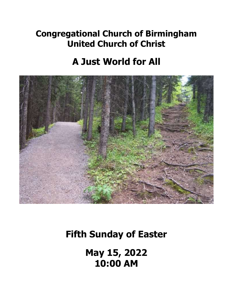# **Congregational Church of Birmingham United Church of Christ**

# **A Just World for All**



# **Fifth Sunday of Easter**

**May 15, 2022 10:00 AM**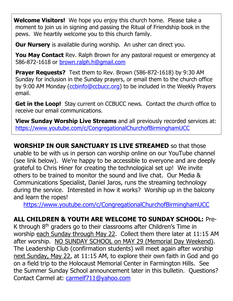**Welcome Visitors!** We hope you enjoy this church home. Please take a moment to join us in signing and passing the Ritual of Friendship book in the pews. We heartily welcome you to this church family.

**Our Nursery** is available during worship. An usher can direct you.

**You May Contact** Rev. Ralph Brown for any pastoral request or emergency at 586-872-1618 or [brown.ralph.h@gmail.com](mailto:brown.ralph.h@gmail.com)

**Prayer Requests?** Text them to Rev. Brown (586-872-1618) by 9:30 AM Sunday for inclusion in the Sunday prayers, or email them to the church office by 9:00 AM Monday [\(ccbinfo@ccbucc.org\)](mailto:ccbinfo@ccbucc.org) to be included in the Weekly Prayers email.

**Get in the Loop!** Stay current on CCBUCC news. Contact the church office to receive our email communications.

**View Sunday Worship Live Streams** and all previously recorded services at: <https://www.youtube.com/c/CongregationalChurchofBirminghamUCC>

**WORSHIP IN OUR SANCTUARY IS LIVE STREAMED** so that those unable to be with us in person can worship online on our YouTube channel (see link below). We're happy to be accessible to everyone and are deeply grateful to Chris Hiner for creating the technological set up! We invite others to be trained to monitor the sound and live chat. Our Media & Communications Specialist, Daniel Jaros, runs the streaming technology during the service. Interested in how it works? Worship up in the balcony and learn the ropes!

<https://www.youtube.com/c/CongregationalChurchofBirminghamUCC>

## **ALL CHILDREN & YOUTH ARE WELCOME TO SUNDAY SCHOOL:** Pre-

K through  $8<sup>th</sup>$  graders go to their classrooms after Children's Time in worship each Sunday through May 22. Collect them there later at 11:15 AM after worship. NO SUNDAY SCHOOL on MAY 29 (Memorial Day Weekend). The Leadership Club (confirmation students) will meet again after worship next Sunday, May 22, at 11:15 AM, to explore their own faith in God and go on a field trip to the Holocaust Memorial Center in Farmington Hills. See the Summer Sunday School announcement later in this bulletin. Questions? Contact Carmel at: [carmelf711@yahoo.com](mailto:carmelf711@yahoo.com)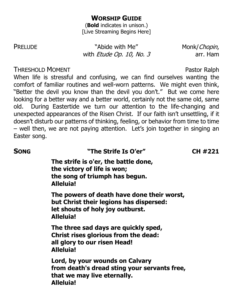### **WORSHIP GUIDE**

(**Bold** indicates in unison.) [Live Streaming Begins Here]

PRELUDE "Abide with Me" Monk/Chopin, with *Etude Op. 10, No. 3* arr. Ham

### **THRESHOLD MOMENT CONSUMING A SET OF A SET OF A SET OF A SET OF A SET OF A SET OF A SET OF A SET OF A SET OF A SET OF A SET OF A SET OF A SET OF A SET OF A SET OF A SET OF A SET OF A SET OF A SET OF A SET OF A SET OF A S**

When life is stressful and confusing, we can find ourselves wanting the comfort of familiar routines and well-worn patterns. We might even think, "Better the devil you know than the devil you don't." But we come here looking for a better way and a better world, certainly not the same old, same old. During Eastertide we turn our attention to the life-changing and unexpected appearances of the Risen Christ. If our faith isn't unsettling, if it doesn't disturb our patterns of thinking, feeling, or behavior from time to time – well then, we are not paying attention. Let's join together in singing an Easter song.

**SONG "The Strife Is O'er" CH #221**

**The strife is o'er, the battle done, the victory of life is won; the song of triumph has begun. Alleluia!**

**The powers of death have done their worst, but Christ their legions has dispersed: let shouts of holy joy outburst. Alleluia!**

**The three sad days are quickly sped, Christ rises glorious from the dead: all glory to our risen Head! Alleluia!**

**Lord, by your wounds on Calvary from death's dread sting your servants free, that we may live eternally. Alleluia!**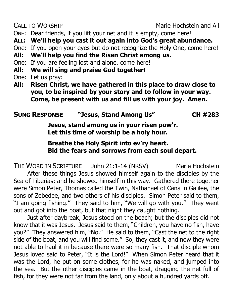CALL TO WORSHIP **CALL TO WORSHIP CALL TO WORSHIP** 

- ONE: Dear friends, if you lift your net and it is empty, come here!
- **ALL: We'll help you cast it out again into God's great abundance.**
- One: If you open your eyes but do not recognize the Holy One, come here!
- **All: We'll help you find the Risen Christ among us.**
- One: If you are feeling lost and alone, come here!
- **All: We will sing and praise God together!**
- One: Let us pray:
- **All: Risen Christ, we have gathered in this place to draw close to you, to be inspired by your story and to follow in your way. Come, be present with us and fill us with your joy. Amen.**

# **SUNG RESPONSE "Jesus, Stand Among Us" CH #283**

**Jesus, stand among us in your risen pow'r. Let this time of worship be a holy hour.**

## **Breathe the Holy Spirit into ev'ry heart. Bid the fears and sorrows from each soul depart.**

THE WORD IN SCRIPTURE John 21:1-14 (NRSV) Marie Hochstein

After these things Jesus showed himself again to the disciples by the Sea of Tiberias; and he showed himself in this way. Gathered there together were Simon Peter, Thomas called the Twin, Nathanael of Cana in Galilee, the sons of Zebedee, and two others of his disciples. Simon Peter said to them, "I am going fishing." They said to him, "We will go with you." They went out and got into the boat, but that night they caught nothing.

Just after daybreak, Jesus stood on the beach; but the disciples did not know that it was Jesus. Jesus said to them, "Children, you have no fish, have you?" They answered him, "No." He said to them, "Cast the net to the right side of the boat, and you will find some." So, they cast it, and now they were not able to haul it in because there were so many fish. That disciple whom Jesus loved said to Peter, "It is the Lord!" When Simon Peter heard that it was the Lord, he put on some clothes, for he was naked, and jumped into the sea. But the other disciples came in the boat, dragging the net full of fish, for they were not far from the land, only about a hundred yards off.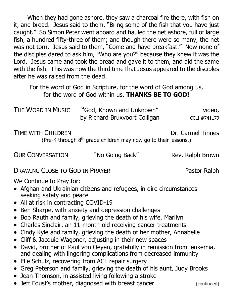When they had gone ashore, they saw a charcoal fire there, with fish on it, and bread. Jesus said to them, "Bring some of the fish that you have just caught." So Simon Peter went aboard and hauled the net ashore, full of large fish, a hundred fifty-three of them; and though there were so many, the net was not torn. Jesus said to them, "Come and have breakfast." Now none of the disciples dared to ask him, "Who are you?" because they knew it was the Lord. Jesus came and took the bread and gave it to them, and did the same with the fish. This was now the third time that Jesus appeared to the disciples after he was raised from the dead.

For the word of God in Scripture, for the word of God among us, for the word of God within us, **THANKS BE TO GOD!**

| The Word in Music | "God, Known and Unknown"      | video,       |
|-------------------|-------------------------------|--------------|
|                   | by Richard Bruxvoort Colligan | CCLI #741179 |

TIME WITH CHILDREN **TIME WITH CHILDREN** 

(Pre-K through 8<sup>th</sup> grade children may now go to their lessons.)

OUR CONVERSATION "No Going Back" Rev. Ralph Brown

DRAWING CLOSE TO GOD IN PRAYER Pastor Ralph

We Continue to Pray for:

- Afghan and Ukrainian citizens and refugees, in dire circumstances seeking safety and peace
- All at risk in contracting COVID-19
- Ben Sharpe, with anxiety and depression challenges
- Bob Rauth and family, grieving the death of his wife, Marilyn
- Charles Sinclair, an 11-month-old receiving cancer treatments
- Cindy Kyle and family, grieving the death of her mother, Annabelle
- Cliff & Jacquie Wagoner, adjusting in their new spaces
- David, brother of Paul von Oeyen, gratefully in remission from leukemia, and dealing with lingering complications from decreased immunity
- Elie Schulz, recovering from ACL repair surgery
- Greg Peterson and family, grieving the death of his aunt, Judy Brooks
- Jean Thomson, in assisted living following a stroke
- Jeff Foust's mother, diagnosed with breast cancer (continued)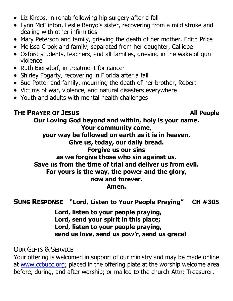- Liz Kircos, in rehab following hip surgery after a fall
- Lynn McClinton, Leslie Benyo's sister, recovering from a mild stroke and dealing with other infirmities
- Mary Peterson and family, grieving the death of her mother, Edith Price
- Melissa Crook and family, separated from her daughter, Calliope
- Oxford students, teachers, and all families, grieving in the wake of gun violence
- Ruth Biersdorf, in treatment for cancer
- Shirley Fogarty, recovering in Florida after a fall
- Sue Potter and family, mourning the death of her brother, Robert
- Victims of war, violence, and natural disasters everywhere
- Youth and adults with mental health challenges

### **THE PRAYER OF JESUS All People**

**Our Loving God beyond and within, holy is your name. Your community come, your way be followed on earth as it is in heaven. Give us, today, our daily bread. Forgive us our sins as we forgive those who sin against us. Save us from the time of trial and deliver us from evil. For yours is the way, the power and the glory, now and forever.**

**Amen.**

## **SUNG RESPONSE "Lord, Listen to Your People Praying" CH #305**

**Lord, listen to your people praying, Lord, send your spirit in this place; Lord, listen to your people praying, send us love, send us pow'r, send us grace!**

OUR GIFTS & SERVICE

Your offering is welcomed in support of our ministry and may be made online at [www.ccbucc.org;](http://www.ccbucc.org/) placed in the offering plate at the worship welcome area before, during, and after worship; or mailed to the church Attn: Treasurer.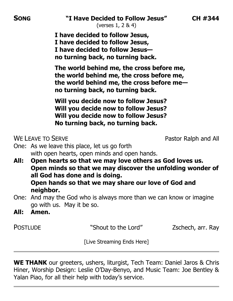(verses 1, 2 & 4)

**I have decided to follow Jesus, I have decided to follow Jesus, I have decided to follow Jesus no turning back, no turning back.**

**The world behind me, the cross before me, the world behind me, the cross before me, the world behind me, the cross before me no turning back, no turning back.**

**Will you decide now to follow Jesus? Will you decide now to follow Jesus? Will you decide now to follow Jesus? No turning back, no turning back.**

WE LEAVE TO SERVE **Pastor Ralph and All** 

- One: As we leave this place, let us go forth with open hearts, open minds and open hands.
- **All: Open hearts so that we may love others as God loves us. Open minds so that we may discover the unfolding wonder of all God has done and is doing. Open hands so that we may share our love of God and neighbor.**
- One: And may the God who is always more than we can know or imagine go with us. May it be so.
- **All: Amen.**

POSTLUDE The Shout to the Lord" Zschech, arr. Ray

[Live Streaming Ends Here]

**WE THANK** our greeters, ushers, liturgist, Tech Team: Daniel Jaros & Chris Hiner, Worship Design: Leslie O'Day-Benyo, and Music Team: Joe Bentley & Yalan Piao, for all their help with today's service.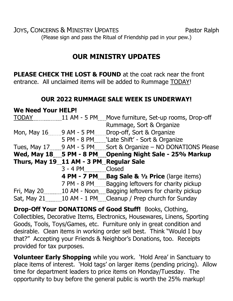JOYS, CONCERNS & MINISTRY UPDATES Pastor Ralph (Please sign and pass the Ritual of Friendship pad in your pew.)

## **OUR MINISTRY UPDATES**

**PLEASE CHECK THE LOST & FOUND** at the coat rack near the front entrance. All unclaimed items will be added to Rummage TODAY!

### **OUR 2022 RUMMAGE SALE WEEK IS UNDERWAY!**

**We Need Your HELP!** TODAY 11 AM - 5 PM Move furniture, Set-up rooms, Drop-off Rummage, Sort & Organize Mon, May 16 9 AM - 5 PM Drop-off, Sort & Organize 5 PM - 8 PM 'Late Shift' - Sort & Organize Tues, May 17 30 AM - 5 PM Sort & Organize – NO DONATIONS Please Wed, May 18 ...... 5 PM - 8 PM ....... Opening Night Sale - 25% Markup **Thurs, May 19 11 AM - 3 PM Regular Sale** 3 - 4 PM Closed **4 PM - 7 PM Bag Sale & ½ Price** (large items) 7 PM - 8 PM Bagging leftovers for charity pickup Fri, May 20 10 M - Noon Bagging leftovers for charity pickup Sat, May 21 10 AM - 1 PM Cleanup / Prep church for Sunday

**Drop-Off Your DONATIONS of Good Stuff!** Books, Clothing, Collectibles, Decorative Items, Electronics, Housewares, Linens, Sporting Goods, Tools, Toys/Games, etc. Furniture only in great condition and desirable. Clean items in working order sell best. Think "Would I buy that?" Accepting your Friends & Neighbor's Donations, too. Receipts provided for tax purposes.

**Volunteer Early Shopping** while you work. 'Hold Area' in Sanctuary to place items of interest. 'Hold tags' on larger items (pending pricing). Allow time for department leaders to price items on Monday/Tuesday. The opportunity to buy before the general public is worth the 25% markup!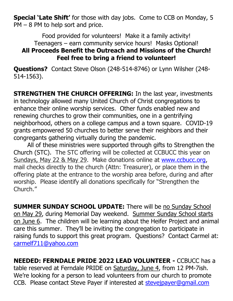**Special 'Late Shift'** for those with day jobs. Come to CCB on Monday, 5 PM – 8 PM to help sort and price.

Food provided for volunteers! Make it a family activity! Teenagers – earn community service hours! Masks Optional! **All Proceeds Benefit the Outreach and Missions of the Church! Feel free to bring a friend to volunteer!**

**Questions?** Contact Steve Olson (248-514-8746) or Lynn Wilsher (248- 514-1563).

**STRENGTHEN THE CHURCH OFFERING:** In the last year, investments in technology allowed many United Church of Christ congregations to enhance their online worship services. Other funds enabled new and renewing churches to grow their communities, one in a gentrifying neighborhood, others on a college campus and a town square. COVID-19 grants empowered 50 churches to better serve their neighbors and their congregants gathering virtually during the pandemic.

All of these ministries were supported through gifts to [Strengthen the](https://www.ucc.org/giving/ways-to-give/our-churchs-wider-mission/strengthen-the-church/)  [Church](https://www.ucc.org/giving/ways-to-give/our-churchs-wider-mission/strengthen-the-church/) (STC). The STC offering will be collected at CCBUCC this year on Sundays, May 22 & May 29. Make donations online at [www.ccbucc.org,](http://www.ccbucc.org/) mail checks directly to the church (Attn: Treasurer), or place them in the offering plate at the entrance to the worship area before, during and after worship. Please identify all donations specifically for "Strengthen the Church."

**SUMMER SUNDAY SCHOOL UPDATE:** There will be no Sunday School on May 29, during Memorial Day weekend. Summer Sunday School starts on June 6. The children will be learning about the Heifer Project and animal care this summer. They'll be inviting the congregation to participate in raising funds to support this great program. Questions? Contact Carmel at: [carmelf711@yahoo.com](mailto:carmelf711@yahoo.com)

**NEEDED: FERNDALE PRIDE 2022 LEAD VOLUNTEER -** CCBUCC has a table reserved at Ferndale PRIDE on Saturday, June 4, from 12 PM-7ish. We're looking for a person to lead volunteers from our church to promote CCB. Please contact Steve Payer if interested at [stevejpayer@gmail.com](mailto:stevejpayer@gmail.com)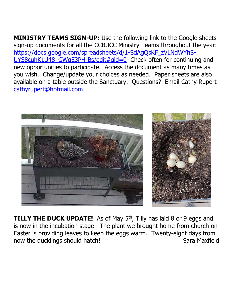**MINISTRY TEAMS SIGN-UP:** Use the following link to the Google sheets sign-up documents for all the CCBUCC Ministry Teams throughout the year: [https://docs.google.com/spreadsheets/d/1-SdAgQsKF\\_zVLNdWYhS-](https://docs.google.com/spreadsheets/d/1-SdAgQsKF_zVLNdWYhS-UYS8cuhK1U48_GWqE3PH-Bs/edit#gid=0)UYS8cuhK1U48 GWqE3PH-Bs/edit#gid=0 Check often for continuing and new opportunities to participate. Access the document as many times as you wish. Change/update your choices as needed. Paper sheets are also available on a table outside the Sanctuary. Questions? Email Cathy Rupert [cathyrupert@hotmail.com](mailto:cathyrupert@hotmail.com) 



**TILLY THE DUCK UPDATE!** As of May 5<sup>th</sup>, Tilly has laid 8 or 9 eggs and is now in the incubation stage. The plant we brought home from church on Easter is providing leaves to keep the eggs warm. Twenty-eight days from now the ducklings should hatch! Sara Maxfield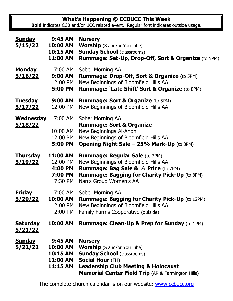**What's Happening @ CCBUCC This Week**

**Bold** indicates CCB and/or UCC related event. Regular font indicates outside usage.

| <u>Sunday</u><br><u>5/15/22</u>    | 9:45 AM<br>10:00 AM<br><b>10:15 AM</b><br>11:00 AM             | <b>Nursery</b><br><b>Worship</b> (S and/or YouTube)<br><b>Sunday School (classrooms)</b><br>Rummage: Set-Up, Drop-Off, Sort & Organize (to 5PM)                                                                                    |  |
|------------------------------------|----------------------------------------------------------------|------------------------------------------------------------------------------------------------------------------------------------------------------------------------------------------------------------------------------------|--|
| <b>Monday</b><br><u>5/16/22</u>    | 7:00 AM<br>9:00 AM<br>12:00 PM<br>5:00 PM                      | Sober Morning AA<br>Rummage: Drop-Off, Sort & Organize (to 5PM)<br>New Beginnings of Bloomfield Hills AA<br><b>Rummage: 'Late Shift' Sort &amp; Organize (to 8PM)</b>                                                              |  |
| <b>Tuesday</b><br>5/17/22          | 9:00 AM<br>12:00 PM                                            | <b>Rummage: Sort &amp; Organize (to 5PM)</b><br>New Beginnings of Bloomfield Hills AA                                                                                                                                              |  |
| <u>Wednesday</u><br><u>5/18/22</u> | 10:00 AM<br>12:00 PM<br>5:00 PM                                | 7:00 AM Sober Morning AA<br><b>Rummage: Sort &amp; Organize</b><br>New Beginnings Al-Anon<br>New Beginnings of Bloomfield Hills AA<br><b>Opening Night Sale - 25% Mark-Up (to 8PM)</b>                                             |  |
| <u>Thursday</u><br><u>5/19/22</u>  | 11:00 AM<br>12:00 PM<br>4:00 PM<br>7:00 PM<br>7:30 PM          | <b>Rummage: Regular Sale (to 3PM)</b><br>New Beginnings of Bloomfield Hills AA<br><b>Rummage: Bag Sale &amp; 1/2 Price (to 7PM)</b><br><b>Rummage: Bagging for Charity Pick-Up (to 8PM)</b><br>Nan's Group Women's AA              |  |
| <u>Friday</u><br><u>5/20/22</u>    | <b>10:00 AM</b><br>12:00 PM<br>2:00 PM                         | 7:00 AM Sober Morning AA<br><b>Rummage: Bagging for Charity Pick-Up (to 12PM)</b><br>New Beginnings of Bloomfield Hills AA<br>Family Farms Cooperative (outside)                                                                   |  |
| <u>Saturday</u><br><u>5/21/22</u>  | 10:00 AM                                                       | <b>Rummage: Clean-Up &amp; Prep for Sunday (to 1PM)</b>                                                                                                                                                                            |  |
| <u>Sunday</u><br><u>5/22/22</u>    | 9:45 AM<br>10:00 AM<br><b>10:15 AM</b><br>11:00 AM<br>11:15 AM | <b>Nursery</b><br><b>Worship</b> (S and/or YouTube)<br><b>Sunday School (classrooms)</b><br><b>Social Hour (FH)</b><br><b>Leadership Club Meeting &amp; Holocaust</b><br><b>Memorial Center Field Trip</b> (AR & Farmington Hills) |  |

The complete church calendar is on our website: [www.ccbucc.org](http://www.ccbucc.org/)